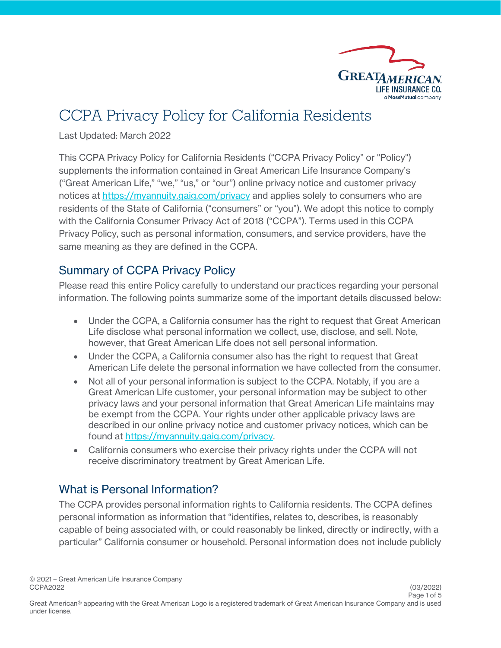

# CCPA Privacy Policy for California Residents

Last Updated: March 2022

This CCPA Privacy Policy for California Residents ("CCPA Privacy Policy" or "Policy") supplements the information contained in Great American Life Insurance Company's ("Great American Life," "we," "us," or "our") online privacy notice and customer privacy notices at <https://myannuity.gaig.com/privacy> and applies solely to consumers who are residents of the State of California ("consumers" or "you"). We adopt this notice to comply with the California Consumer Privacy Act of 2018 ("CCPA"). Terms used in this CCPA Privacy Policy, such as personal information, consumers, and service providers, have the same meaning as they are defined in the CCPA.

# Summary of CCPA Privacy Policy

Please read this entire Policy carefully to understand our practices regarding your personal information. The following points summarize some of the important details discussed below:

- Under the CCPA, a California consumer has the right to request that Great American Life disclose what personal information we collect, use, disclose, and sell. Note, however, that Great American Life does not sell personal information.
- Under the CCPA, a California consumer also has the right to request that Great American Life delete the personal information we have collected from the consumer.
- Not all of your personal information is subject to the CCPA. Notably, if you are a Great American Life customer, your personal information may be subject to other privacy laws and your personal information that Great American Life maintains may be exempt from the CCPA. Your rights under other applicable privacy laws are described in our online privacy notice and customer privacy notices, which can be found at [https://myannuity.gaig.com/privacy.](https://myannuity.gaig.com/privacy)
- California consumers who exercise their privacy rights under the CCPA will not receive discriminatory treatment by Great American Life.

# What is Personal Information?

The CCPA provides personal information rights to California residents. The CCPA defines personal information as information that "identifies, relates to, describes, is reasonably capable of being associated with, or could reasonably be linked, directly or indirectly, with a particular" California consumer or household. Personal information does not include publicly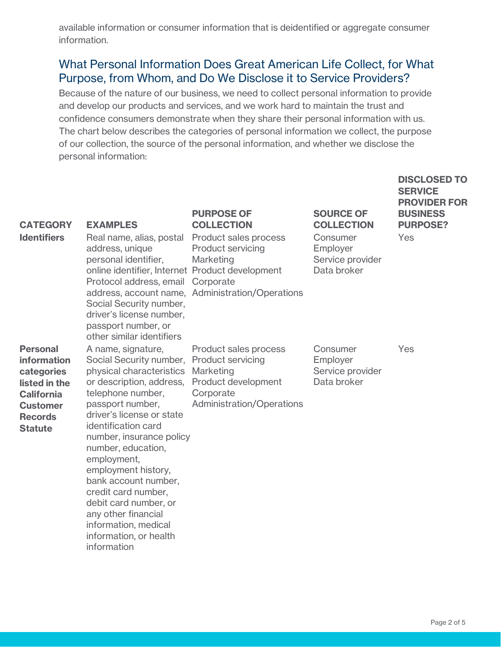available information or consumer information that is deidentified or aggregate consumer information.

## What Personal Information Does Great American Life Collect, for What Purpose, from Whom, and Do We Disclose it to Service Providers?

Because of the nature of our business, we need to collect personal information to provide and develop our products and services, and we work hard to maintain the trust and confidence consumers demonstrate when they share their personal information with us. The chart below describes the categories of personal information we collect, the purpose of our collection, the source of the personal information, and whether we disclose the personal information:

| <b>CATEGORY</b><br><b>Identifiers</b>                                                                                                     | <b>EXAMPLES</b><br>Real name, alias, postal Product sales process<br>address, unique<br>personal identifier,<br>online identifier, Internet Product development<br>Protocol address, email Corporate<br>Social Security number,<br>driver's license number,<br>passport number, or<br>other similar identifiers                                                                                                                                            | <b>PURPOSE OF</b><br><b>COLLECTION</b><br><b>Product servicing</b><br>Marketing<br>address, account name, Administration/Operations    | <b>SOURCE OF</b><br><b>COLLECTION</b><br>Consumer<br>Employer<br>Service provider<br>Data broker | <b>PROVIDER FOR</b><br><b>BUSINESS</b><br><b>PURPOSE?</b><br>Yes |
|-------------------------------------------------------------------------------------------------------------------------------------------|------------------------------------------------------------------------------------------------------------------------------------------------------------------------------------------------------------------------------------------------------------------------------------------------------------------------------------------------------------------------------------------------------------------------------------------------------------|----------------------------------------------------------------------------------------------------------------------------------------|--------------------------------------------------------------------------------------------------|------------------------------------------------------------------|
| <b>Personal</b><br>information<br>categories<br>listed in the<br><b>California</b><br><b>Customer</b><br><b>Records</b><br><b>Statute</b> | A name, signature,<br>Social Security number,<br>physical characteristics<br>or description, address,<br>telephone number,<br>passport number,<br>driver's license or state<br>identification card<br>number, insurance policy<br>number, education,<br>employment,<br>employment history,<br>bank account number,<br>credit card number,<br>debit card number, or<br>any other financial<br>information, medical<br>information, or health<br>information | Product sales process<br><b>Product servicing</b><br>Marketing<br>Product development<br>Corporate<br><b>Administration/Operations</b> | Consumer<br>Employer<br>Service provider<br>Data broker                                          | Yes                                                              |

**DISCLOSED TO** 

**SERVICE**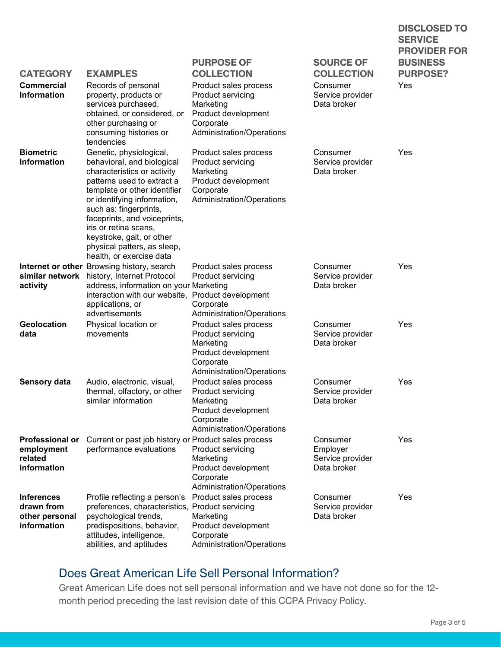|                                                                  |                                                                                                                                                                                                                                                                                                                                                              |                                                                                                                          |                                                         | <b>PROVIDER FOR</b>                |
|------------------------------------------------------------------|--------------------------------------------------------------------------------------------------------------------------------------------------------------------------------------------------------------------------------------------------------------------------------------------------------------------------------------------------------------|--------------------------------------------------------------------------------------------------------------------------|---------------------------------------------------------|------------------------------------|
| <b>CATEGORY</b>                                                  | <b>EXAMPLES</b>                                                                                                                                                                                                                                                                                                                                              | <b>PURPOSE OF</b><br><b>COLLECTION</b>                                                                                   | <b>SOURCE OF</b><br><b>COLLECTION</b>                   | <b>BUSINESS</b><br><b>PURPOSE?</b> |
| <b>Commercial</b><br><b>Information</b>                          | Records of personal<br>property, products or<br>services purchased,<br>obtained, or considered, or<br>other purchasing or<br>consuming histories or<br>tendencies                                                                                                                                                                                            | Product sales process<br>Product servicing<br>Marketing<br>Product development<br>Corporate<br>Administration/Operations | Consumer<br>Service provider<br>Data broker             | Yes                                |
| <b>Biometric</b><br><b>Information</b>                           | Genetic, physiological,<br>behavioral, and biological<br>characteristics or activity<br>patterns used to extract a<br>template or other identifier<br>or identifying information,<br>such as: fingerprints,<br>faceprints, and voiceprints,<br>iris or retina scans,<br>keystroke, gait, or other<br>physical patters, as sleep,<br>health, or exercise data | Product sales process<br>Product servicing<br>Marketing<br>Product development<br>Corporate<br>Administration/Operations | Consumer<br>Service provider<br>Data broker             | Yes                                |
| activity                                                         | Internet or other Browsing history, search<br>similar network history, Internet Protocol<br>address, information on your Marketing<br>interaction with our website, Product development<br>applications, or<br>advertisements                                                                                                                                | Product sales process<br>Product servicing<br>Corporate<br>Administration/Operations                                     | Consumer<br>Service provider<br>Data broker             | Yes                                |
| Geolocation<br>data                                              | Physical location or<br>movements                                                                                                                                                                                                                                                                                                                            | Product sales process<br>Product servicing<br>Marketing<br>Product development<br>Corporate<br>Administration/Operations | Consumer<br>Service provider<br>Data broker             | Yes                                |
| <b>Sensory data</b>                                              | Audio, electronic, visual,<br>thermal, olfactory, or other<br>similar information                                                                                                                                                                                                                                                                            | Product sales process<br>Product servicing<br>Marketing<br>Product development<br>Corporate<br>Administration/Operations | Consumer<br>Service provider<br>Data broker             | Yes                                |
| <b>Professional or</b><br>employment<br>related<br>information   | Current or past job history or Product sales process<br>performance evaluations                                                                                                                                                                                                                                                                              | Product servicing<br>Marketing<br>Product development<br>Corporate<br>Administration/Operations                          | Consumer<br>Employer<br>Service provider<br>Data broker | Yes                                |
| <b>Inferences</b><br>drawn from<br>other personal<br>information | Profile reflecting a person's<br>preferences, characteristics, Product servicing<br>psychological trends,<br>predispositions, behavior,<br>attitudes, intelligence,<br>abilities, and aptitudes                                                                                                                                                              | Product sales process<br>Marketing<br>Product development<br>Corporate<br>Administration/Operations                      | Consumer<br>Service provider<br>Data broker             | Yes                                |

## Does Great American Life Sell Personal Information?

Great American Life does not sell personal information and we have not done so for the 12 month period preceding the last revision date of this CCPA Privacy Policy.

**DISCLOSED TO** 

**SERVICE**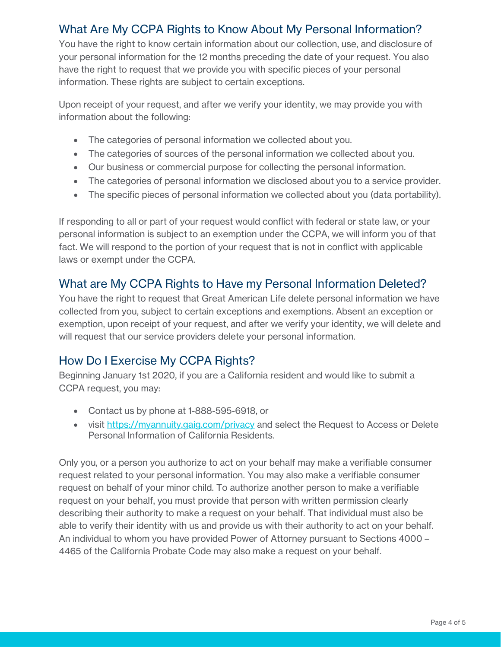## What Are My CCPA Rights to Know About My Personal Information?

You have the right to know certain information about our collection, use, and disclosure of your personal information for the 12 months preceding the date of your request. You also have the right to request that we provide you with specific pieces of your personal information. These rights are subject to certain exceptions.

Upon receipt of your request, and after we verify your identity, we may provide you with information about the following:

- The categories of personal information we collected about you.
- The categories of sources of the personal information we collected about you.
- Our business or commercial purpose for collecting the personal information.
- The categories of personal information we disclosed about you to a service provider.
- The specific pieces of personal information we collected about you (data portability).

If responding to all or part of your request would conflict with federal or state law, or your personal information is subject to an exemption under the CCPA, we will inform you of that fact. We will respond to the portion of your request that is not in conflict with applicable laws or exempt under the CCPA.

#### What are My CCPA Rights to Have my Personal Information Deleted?

You have the right to request that Great American Life delete personal information we have collected from you, subject to certain exceptions and exemptions. Absent an exception or exemption, upon receipt of your request, and after we verify your identity, we will delete and will request that our service providers delete your personal information.

## How Do I Exercise My CCPA Rights?

Beginning January 1st 2020, if you are a California resident and would like to submit a CCPA request, you may:

- Contact us by phone at 1-888-595-6918, or
- visit<https://myannuity.gaig.com/privacy> and select the Request to Access or Delete Personal Information of California Residents.

Only you, or a person you authorize to act on your behalf may make a verifiable consumer request related to your personal information. You may also make a verifiable consumer request on behalf of your minor child. To authorize another person to make a verifiable request on your behalf, you must provide that person with written permission clearly describing their authority to make a request on your behalf. That individual must also be able to verify their identity with us and provide us with their authority to act on your behalf. An individual to whom you have provided Power of Attorney pursuant to Sections 4000 – 4465 of the California Probate Code may also make a request on your behalf.